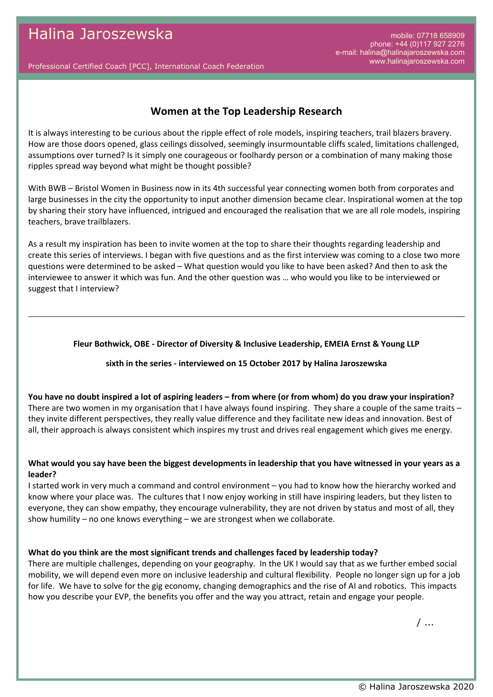Professional Certified Coach [PCC], International Coach Federation

# **Women at the Top Leadership Research**

It is always interesting to be curious about the ripple effect of role models, inspiring teachers, trail blazers bravery. How are those doors opened, glass ceilings dissolved, seemingly insurmountable cliffs scaled, limitations challenged, assumptions over turned? Is it simply one courageous or foolhardy person or a combination of many making those ripples spread way beyond what might be thought possible?

With BWB – Bristol Women in Business now in its 4th successful year connecting women both from corporates and large businesses in the city the opportunity to input another dimension became clear. Inspirational women at the top by sharing their story have influenced, intrigued and encouraged the realisation that we are all role models, inspiring teachers, brave trailblazers.

As a result my inspiration has been to invite women at the top to share their thoughts regarding leadership and create this series of interviews. I began with five questions and as the first interview was coming to a close two more questions were determined to be asked – What question would you like to have been asked? And then to ask the interviewee to answer it which was fun. And the other question was … who would you like to be interviewed or suggest that I interview?

### **Fleur Bothwick, OBE - Director of Diversity & Inclusive Leadership, EMEIA Ernst & Young LLP**

### **sixth in the series - interviewed on 15 October 2017 by Halina Jaroszewska**

**You have no doubt inspired a lot of aspiring leaders – from where (or from whom) do you draw your inspiration?** There are two women in my organisation that I have always found inspiring. They share a couple of the same traits – they invite different perspectives, they really value difference and they facilitate new ideas and innovation. Best of all, their approach is always consistent which inspires my trust and drives real engagement which gives me energy.

## **What would you say have been the biggest developments in leadership that you have witnessed in your years as a leader?**

I started work in very much a command and control environment – you had to know how the hierarchy worked and know where your place was. The cultures that I now enjoy working in still have inspiring leaders, but they listen to everyone, they can show empathy, they encourage vulnerability, they are not driven by status and most of all, they show humility – no one knows everything – we are strongest when we collaborate.

### **What do you think are the most significant trends and challenges faced by leadership today?**

There are multiple challenges, depending on your geography. In the UK I would say that as we further embed social mobility, we will depend even more on inclusive leadership and cultural flexibility. People no longer sign up for a job for life. We have to solve for the gig economy, changing demographics and the rise of AI and robotics. This impacts how you describe your EVP, the benefits you offer and the way you attract, retain and engage your people.

/ ...